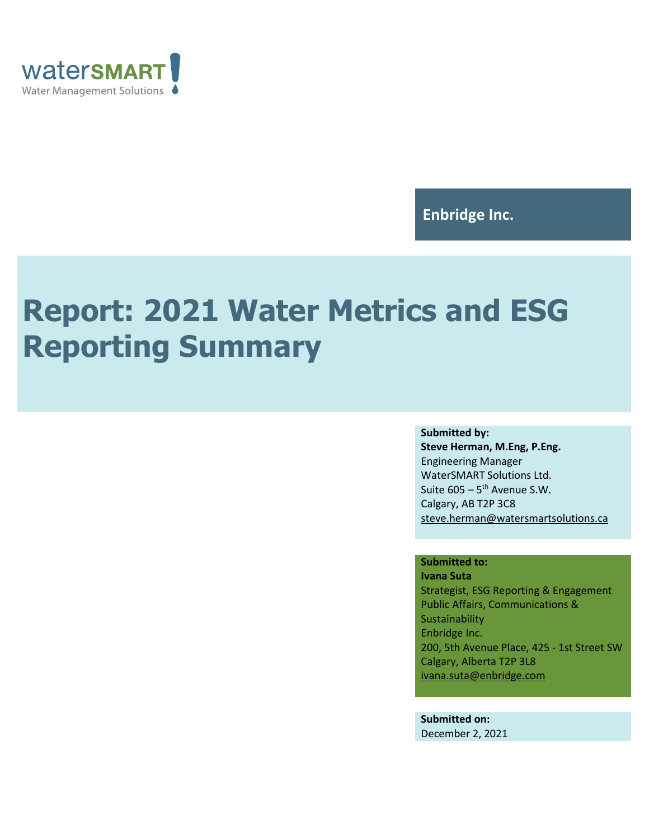

## **Enbridge Inc.**

# **Report: 2021 Water Metrics and ESG Reporting Summary**

#### **Submitted by:**

**Steve Herman, M.Eng, P.Eng.** Engineering Manager WaterSMART Solutions Ltd. Suite 605 – 5<sup>th</sup> Avenue S.W. Calgary, AB T2P 3C8 [steve.herman@watersmartsolutions.ca](mailto:steve.herman@watersmartsolutions.ca)

#### **Submitted to:**

**Ivana Suta** Strategist, ESG Reporting & Engagement Public Affairs, Communications & Sustainability Enbridge Inc. 200, 5th Avenue Place, 425 - 1st Street SW Calgary, Alberta T2P 3L8 [ivana.suta@enbridge.com](mailto:ivana.suta@enbridge.com)

**Submitted on:** December 2, 2021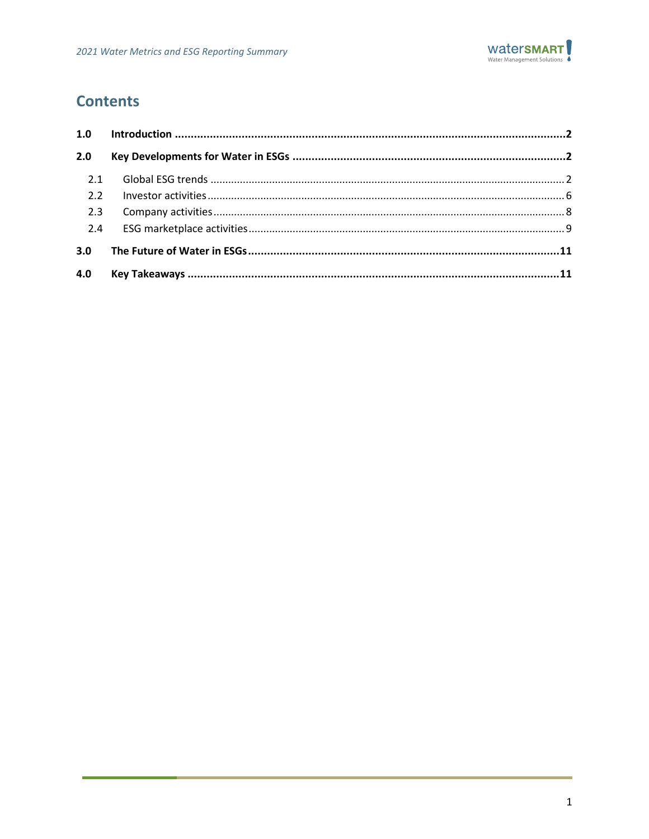

## **Contents**

| 1.0 |  |
|-----|--|
| 2.0 |  |
| 2.1 |  |
| 2.2 |  |
| 2.3 |  |
| 2.4 |  |
| 3.0 |  |
| 4.0 |  |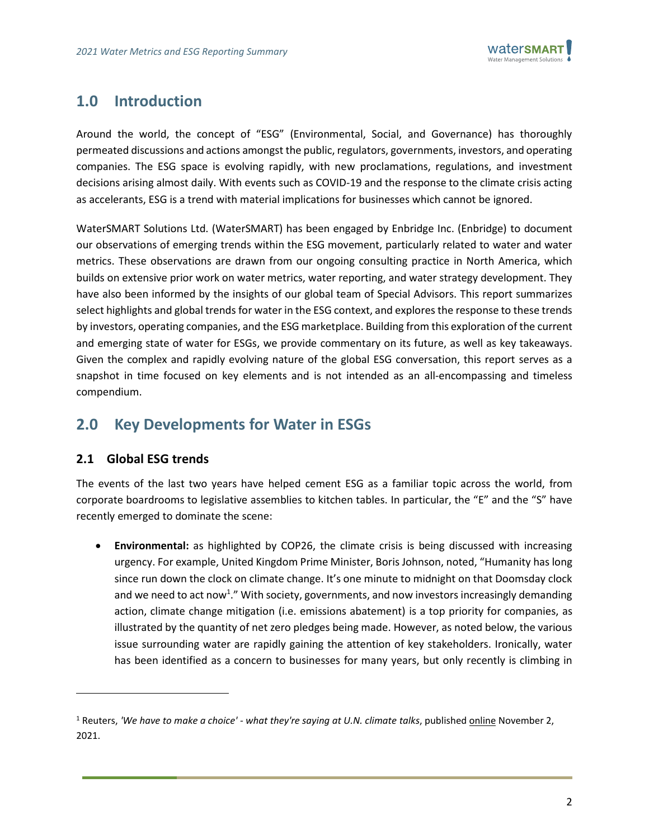

## <span id="page-2-0"></span>**1.0 Introduction**

Around the world, the concept of "ESG" (Environmental, Social, and Governance) has thoroughly permeated discussions and actions amongst the public, regulators, governments, investors, and operating companies. The ESG space is evolving rapidly, with new proclamations, regulations, and investment decisions arising almost daily. With events such as COVID-19 and the response to the climate crisis acting as accelerants, ESG is a trend with material implications for businesses which cannot be ignored.

WaterSMART Solutions Ltd. (WaterSMART) has been engaged by Enbridge Inc. (Enbridge) to document our observations of emerging trends within the ESG movement, particularly related to water and water metrics. These observations are drawn from our ongoing consulting practice in North America, which builds on extensive prior work on water metrics, water reporting, and water strategy development. They have also been informed by the insights of our global team of Special Advisors. This report summarizes select highlights and global trends for water in the ESG context, and explores the response to these trends by investors, operating companies, and the ESG marketplace. Building from this exploration of the current and emerging state of water for ESGs, we provide commentary on its future, as well as key takeaways. Given the complex and rapidly evolving nature of the global ESG conversation, this report serves as a snapshot in time focused on key elements and is not intended as an all-encompassing and timeless compendium.

## <span id="page-2-1"></span>**2.0 Key Developments for Water in ESGs**

#### <span id="page-2-2"></span>**2.1 Global ESG trends**

The events of the last two years have helped cement ESG as a familiar topic across the world, from corporate boardrooms to legislative assemblies to kitchen tables. In particular, the "E" and the "S" have recently emerged to dominate the scene:

• **Environmental:** as highlighted by COP26, the climate crisis is being discussed with increasing urgency. For example, United Kingdom Prime Minister, Boris Johnson, noted, "Humanity has long since run down the clock on climate change. It's one minute to midnight on that Doomsday clock and we need to act now<sup>1</sup>." With society, governments, and now investors increasingly demanding action, climate change mitigation (i.e. emissions abatement) is a top priority for companies, as illustrated by the quantity of net zero pledges being made. However, as noted below, the various issue surrounding water are rapidly gaining the attention of key stakeholders. Ironically, water has been identified as a concern to businesses for many years, but only recently is climbing in

<sup>1</sup> Reuters, *'We have to make a choice' - what they're saying at U.N. climate talks*, publishe[d online](https://www.reuters.com/business/environment/we-have-make-choice-what-theyre-saying-un-climate-talks-2021-11-01/) November 2, 2021.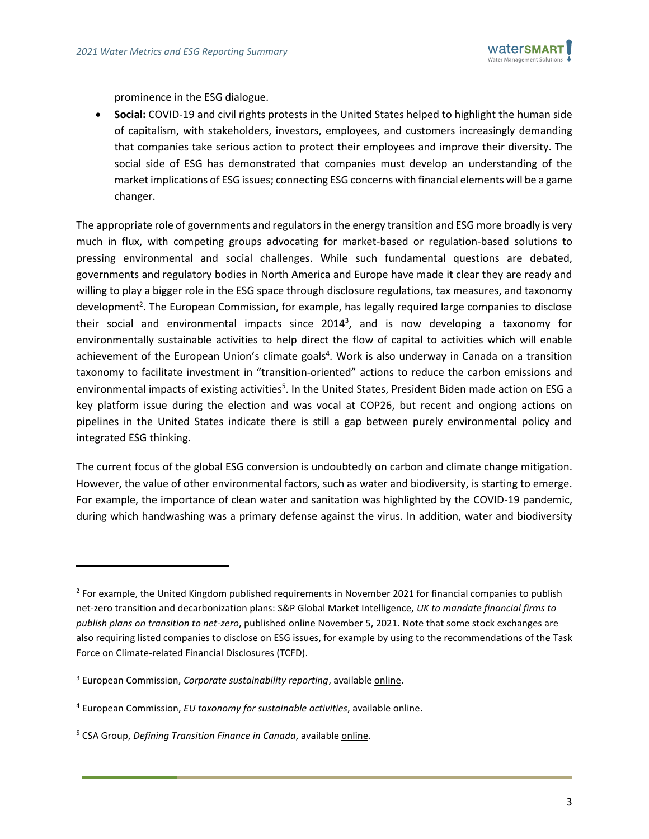

prominence in the ESG dialogue.

• **Social:** COVID-19 and civil rights protests in the United States helped to highlight the human side of capitalism, with stakeholders, investors, employees, and customers increasingly demanding that companies take serious action to protect their employees and improve their diversity. The social side of ESG has demonstrated that companies must develop an understanding of the market implications of ESG issues; connecting ESG concerns with financial elements will be a game changer.

The appropriate role of governments and regulators in the energy transition and ESG more broadly is very much in flux, with competing groups advocating for market-based or regulation-based solutions to pressing environmental and social challenges. While such fundamental questions are debated, governments and regulatory bodies in North America and Europe have made it clear they are ready and willing to play a bigger role in the ESG space through disclosure regulations, tax measures, and taxonomy development<sup>2</sup>. The European Commission, for example, has legally required large companies to disclose their social and environmental impacts since 2014<sup>3</sup>, and is now developing a taxonomy for environmentally sustainable activities to help direct the flow of capital to activities which will enable achievement of the European Union's climate goals<sup>4</sup>. Work is also underway in Canada on a transition taxonomy to facilitate investment in "transition-oriented" actions to reduce the carbon emissions and environmental impacts of existing activities<sup>5</sup>. In the United States, President Biden made action on ESG a key platform issue during the election and was vocal at COP26, but recent and ongiong actions on pipelines in the United States indicate there is still a gap between purely environmental policy and integrated ESG thinking.

The current focus of the global ESG conversion is undoubtedly on carbon and climate change mitigation. However, the value of other environmental factors, such as water and biodiversity, is starting to emerge. For example, the importance of clean water and sanitation was highlighted by the COVID-19 pandemic, during which handwashing was a primary defense against the virus. In addition, water and biodiversity

<sup>&</sup>lt;sup>2</sup> For example, the United Kingdom published requirements in November 2021 for financial companies to publish net-zero transition and decarbonization plans: S&P Global Market Intelligence, *UK to mandate financial firms to publish plans on transition to net-zero*, publishe[d online](https://www.spglobal.com/marketintelligence/en/news-insights/latest-news-headlines/uk-to-mandate-financial-firms-to-publish-plans-on-transition-to-net-zero-67432176) November 5, 2021. Note that some stock exchanges are also requiring listed companies to disclose on ESG issues, for example by using to the recommendations of the Task Force on Climate-related Financial Disclosures (TCFD).

<sup>&</sup>lt;sup>3</sup> European Commission, *Corporate sustainability reporting*, available **online**.

<sup>4</sup> European Commission, *EU taxonomy for sustainable activities*, available [online.](https://ec.europa.eu/info/business-economy-euro/banking-and-finance/sustainable-finance/eu-taxonomy-sustainable-activities_en)

<sup>5</sup> CSA Group, *Defining Transition Finance in Canada*, availabl[e online.](https://www.csagroup.org/news/defining-transition-finance-in-canada/)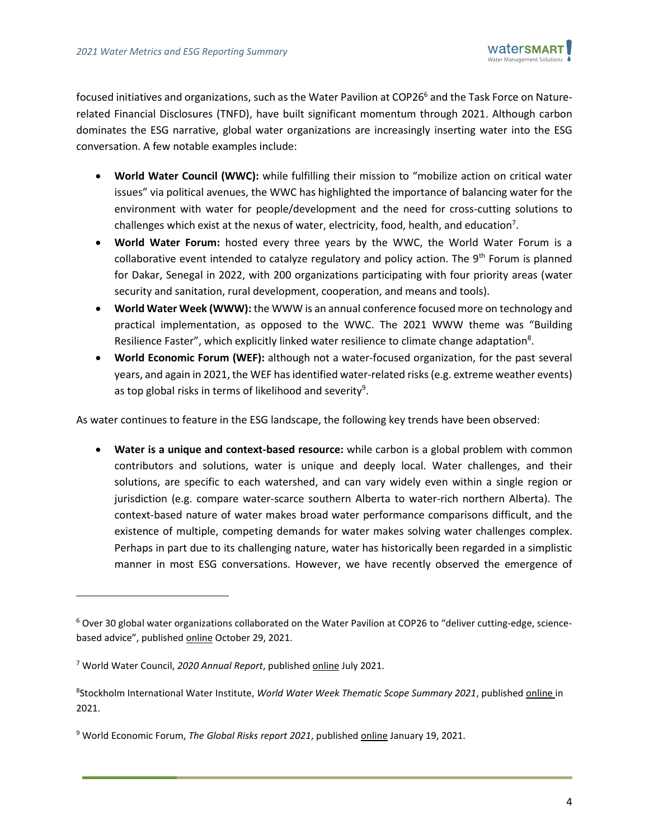

focused initiatives and organizations, such as the Water Pavilion at COP26<sup>6</sup> and the Task Force on Naturerelated Financial Disclosures (TNFD), have built significant momentum through 2021. Although carbon dominates the ESG narrative, global water organizations are increasingly inserting water into the ESG conversation. A few notable examples include:

- **World Water Council (WWC):** while fulfilling their mission to "mobilize action on critical water issues" via political avenues, the WWC has highlighted the importance of balancing water for the environment with water for people/development and the need for cross-cutting solutions to challenges which exist at the nexus of water, electricity, food, health, and education<sup>7</sup>.
- **World Water Forum:** hosted every three years by the WWC, the World Water Forum is a collaborative event intended to catalyze regulatory and policy action. The  $9<sup>th</sup>$  Forum is planned for Dakar, Senegal in 2022, with 200 organizations participating with four priority areas (water security and sanitation, rural development, cooperation, and means and tools).
- **World Water Week (WWW):** the WWW is an annual conference focused more on technology and practical implementation, as opposed to the WWC. The 2021 WWW theme was "Building Resilience Faster", which explicitly linked water resilience to climate change adaptation $8$ .
- **World Economic Forum (WEF):** although not a water-focused organization, for the past several years, and again in 2021, the WEF has identified water-related risks (e.g. extreme weather events) as top global risks in terms of likelihood and severity<sup>9</sup>.

As water continues to feature in the ESG landscape, the following key trends have been observed:

• **Water is a unique and context-based resource:** while carbon is a global problem with common contributors and solutions, water is unique and deeply local. Water challenges, and their solutions, are specific to each watershed, and can vary widely even within a single region or jurisdiction (e.g. compare water-scarce southern Alberta to water-rich northern Alberta). The context-based nature of water makes broad water performance comparisons difficult, and the existence of multiple, competing demands for water makes solving water challenges complex. Perhaps in part due to its challenging nature, water has historically been regarded in a simplistic manner in most ESG conversations. However, we have recently observed the emergence of

<sup>6</sup> Over 30 global water organizations collaborated on the Water Pavilion at COP26 to "deliver cutting-edge, sciencebased advice", publishe[d online](https://www.iucn.org/news/water/202110/water-sector-thirsty-change-climate-cop) October 29, 2021.

<sup>7</sup> World Water Council, *2020 Annual Report*, published [online](https://www.worldwatercouncil.org/en/publications/2020-annual-report) July 2021.

<sup>8</sup> Stockholm International Water Institute, *World Water Week Thematic Scope Summary 2021*, publishe[d online](https://www.worldwaterweek.org/programme/world-water-week-theme/thematic-scope-2021) in 2021.

<sup>9</sup> World Economic Forum, *The Global Risks report 2021*, publishe[d online](https://www.weforum.org/reports/the-global-risks-report-2021) January 19, 2021.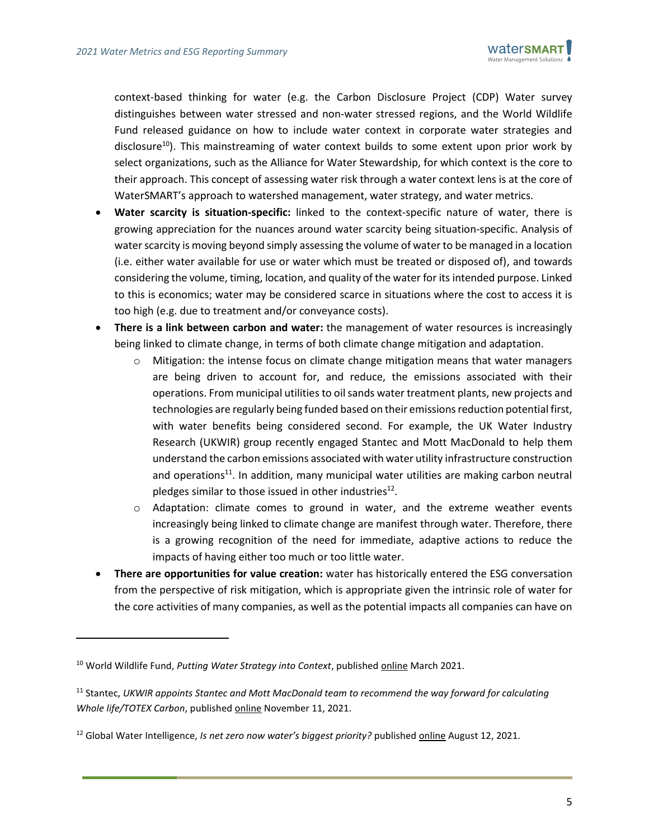

context-based thinking for water (e.g. the Carbon Disclosure Project (CDP) Water survey distinguishes between water stressed and non-water stressed regions, and the World Wildlife Fund released guidance on how to include water context in corporate water strategies and disclosure<sup>10</sup>). This mainstreaming of water context builds to some extent upon prior work by select organizations, such as the Alliance for Water Stewardship, for which context is the core to their approach. This concept of assessing water risk through a water context lens is at the core of WaterSMART's approach to watershed management, water strategy, and water metrics.

- **Water scarcity is situation-specific:** linked to the context-specific nature of water, there is growing appreciation for the nuances around water scarcity being situation-specific. Analysis of water scarcity is moving beyond simply assessing the volume of water to be managed in a location (i.e. either water available for use or water which must be treated or disposed of), and towards considering the volume, timing, location, and quality of the water for its intended purpose. Linked to this is economics; water may be considered scarce in situations where the cost to access it is too high (e.g. due to treatment and/or conveyance costs).
- **There is a link between carbon and water:** the management of water resources is increasingly being linked to climate change, in terms of both climate change mitigation and adaptation.
	- $\circ$  Mitigation: the intense focus on climate change mitigation means that water managers are being driven to account for, and reduce, the emissions associated with their operations. From municipal utilities to oil sands water treatment plants, new projects and technologies are regularly being funded based on their emissions reduction potential first, with water benefits being considered second. For example, the UK Water Industry Research (UKWIR) group recently engaged Stantec and Mott MacDonald to help them understand the carbon emissions associated with water utility infrastructure construction and operations<sup>11</sup>. In addition, many municipal water utilities are making carbon neutral pledges similar to those issued in other industries<sup>12</sup>.
	- $\circ$  Adaptation: climate comes to ground in water, and the extreme weather events increasingly being linked to climate change are manifest through water. Therefore, there is a growing recognition of the need for immediate, adaptive actions to reduce the impacts of having either too much or too little water.
- **There are opportunities for value creation:** water has historically entered the ESG conversation from the perspective of risk mitigation, which is appropriate given the intrinsic role of water for the core activities of many companies, as well as the potential impacts all companies can have on

<sup>10</sup> World Wildlife Fund, *Putting Water Strategy into Context*, publishe[d online](https://wwfint.awsassets.panda.org/downloads/wwf_embedding_context_into_strategy_hr.pdf) March 2021.

<sup>11</sup> Stantec, *UKWIR appoints Stantec and Mott MacDonald team to recommend the way forward for calculating Whole life/TOTEX Carbon*, publishe[d online](https://www.stantec.com/uk/news/2021/ukwir-appoints-stantec-mott-macdonald-team-calculating-whole-life-totex-carbon) November 11, 2021.

<sup>12</sup> Global Water Intelligence, *Is net zero now water's biggest priority?* published [online](https://www.globalwaterintel.com/news/2021/32/is-net-zero-now-water-s-biggest-priority) August 12, 2021.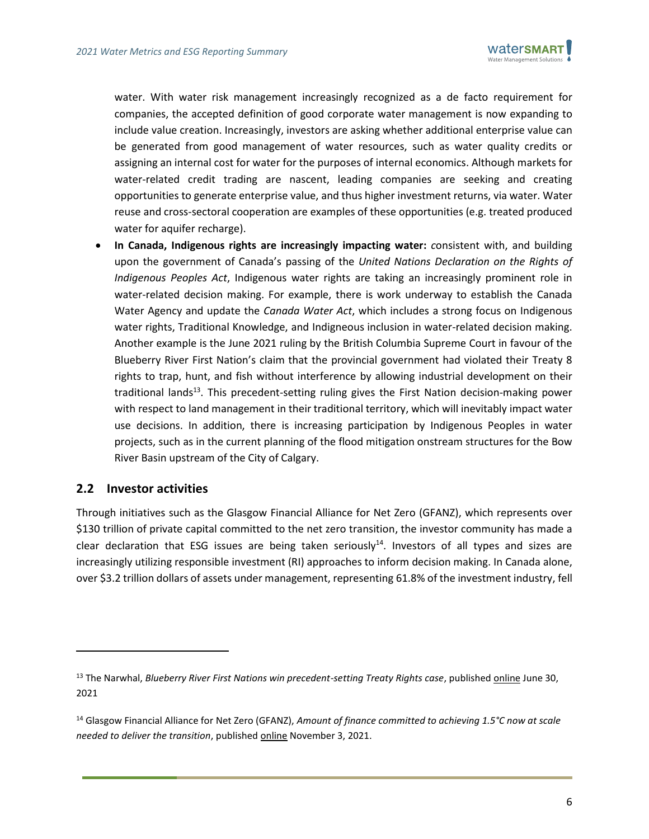

water. With water risk management increasingly recognized as a de facto requirement for companies, the accepted definition of good corporate water management is now expanding to include value creation. Increasingly, investors are asking whether additional enterprise value can be generated from good management of water resources, such as water quality credits or assigning an internal cost for water for the purposes of internal economics. Although markets for water-related credit trading are nascent, leading companies are seeking and creating opportunities to generate enterprise value, and thus higher investment returns, via water. Water reuse and cross-sectoral cooperation are examples of these opportunities (e.g. treated produced water for aquifer recharge).

• **In Canada, Indigenous rights are increasingly impacting water:** *c*onsistent with, and building upon the government of Canada's passing of the *United Nations Declaration on the Rights of Indigenous Peoples Act*, Indigenous water rights are taking an increasingly prominent role in water-related decision making. For example, there is work underway to establish the Canada Water Agency and update the *Canada Water Act*, which includes a strong focus on Indigenous water rights, Traditional Knowledge, and Indigneous inclusion in water-related decision making. Another example is the June 2021 ruling by the British Columbia Supreme Court in favour of the Blueberry River First Nation's claim that the provincial government had violated their Treaty 8 rights to trap, hunt, and fish without interference by allowing industrial development on their traditional lands<sup>13</sup>. This precedent-setting ruling gives the First Nation decision-making power with respect to land management in their traditional territory, which will inevitably impact water use decisions. In addition, there is increasing participation by Indigenous Peoples in water projects, such as in the current planning of the flood mitigation onstream structures for the Bow River Basin upstream of the City of Calgary.

#### <span id="page-6-0"></span>**2.2 Investor activities**

Through initiatives such as the Glasgow Financial Alliance for Net Zero (GFANZ), which represents over \$130 trillion of private capital committed to the net zero transition, the investor community has made a clear declaration that ESG issues are being taken seriously<sup>14</sup>. Investors of all types and sizes are increasingly utilizing responsible investment (RI) approaches to inform decision making. In Canada alone, over \$3.2 trillion dollars of assets under management, representing 61.8% of the investment industry, fell

<sup>&</sup>lt;sup>13</sup> The Narwhal, *Blueberry River First Nations win precedent-setting Treaty Rights case*, published *online* June 30, 2021

<sup>14</sup> Glasgow Financial Alliance for Net Zero (GFANZ), *Amount of finance committed to achieving 1.5°C now at scale needed to deliver the transition*, publishe[d online](https://www.gfanzero.com/press/amount-of-finance-committed-to-achieving-1-5c-now-at-scale-needed-to-deliver-the-transition/) November 3, 2021.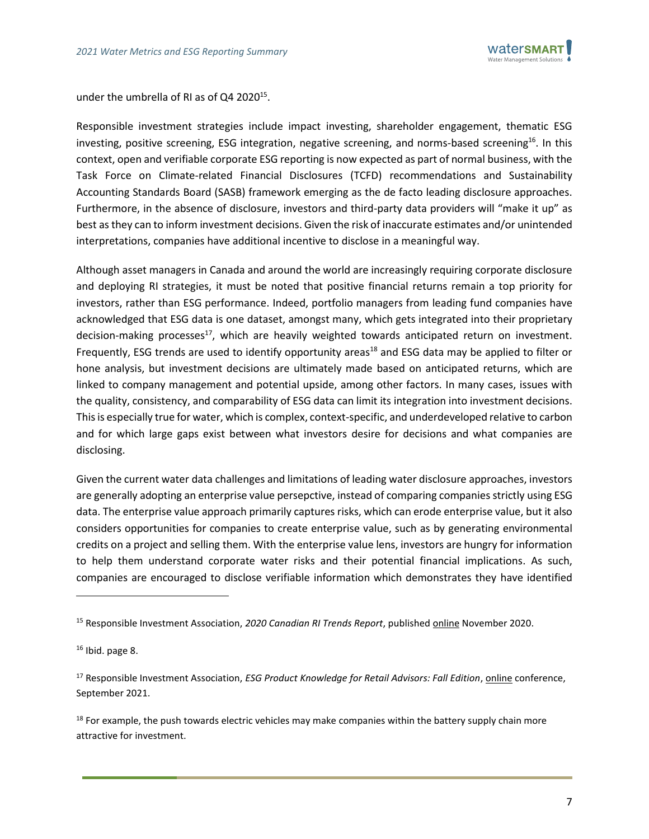

under the umbrella of RI as of Q4 2020 $^{15}$ .

Responsible investment strategies include impact investing, shareholder engagement, thematic ESG investing, positive screening, ESG integration, negative screening, and norms-based screening<sup>16</sup>. In this context, open and verifiable corporate ESG reporting is now expected as part of normal business, with the Task Force on Climate-related Financial Disclosures (TCFD) recommendations and Sustainability Accounting Standards Board (SASB) framework emerging as the de facto leading disclosure approaches. Furthermore, in the absence of disclosure, investors and third-party data providers will "make it up" as best as they can to inform investment decisions. Given the risk of inaccurate estimates and/or unintended interpretations, companies have additional incentive to disclose in a meaningful way.

Although asset managers in Canada and around the world are increasingly requiring corporate disclosure and deploying RI strategies, it must be noted that positive financial returns remain a top priority for investors, rather than ESG performance. Indeed, portfolio managers from leading fund companies have acknowledged that ESG data is one dataset, amongst many, which gets integrated into their proprietary decision-making processes<sup>17</sup>, which are heavily weighted towards anticipated return on investment. Frequently, ESG trends are used to identify opportunity areas<sup>18</sup> and ESG data may be applied to filter or hone analysis, but investment decisions are ultimately made based on anticipated returns, which are linked to company management and potential upside, among other factors. In many cases, issues with the quality, consistency, and comparability of ESG data can limit its integration into investment decisions. This is especially true for water, which is complex, context-specific, and underdeveloped relative to carbon and for which large gaps exist between what investors desire for decisions and what companies are disclosing.

Given the current water data challenges and limitations of leading water disclosure approaches, investors are generally adopting an enterprise value persepctive, instead of comparing companies strictly using ESG data. The enterprise value approach primarily captures risks, which can erode enterprise value, but it also considers opportunities for companies to create enterprise value, such as by generating environmental credits on a project and selling them. With the enterprise value lens, investors are hungry for information to help them understand corporate water risks and their potential financial implications. As such, companies are encouraged to disclose verifiable information which demonstrates they have identified

<sup>15</sup> Responsible Investment Association, *2020 Canadian RI Trends Report*, publishe[d online](https://www.riacanada.ca/research/2020-canadian-ri-trends-report/) November 2020.

 $16$  Ibid. page 8.

<sup>17</sup> Responsible Investment Association, *ESG Product Knowledge for Retail Advisors: Fall Edition*, [online](https://www.riacanada.ca/event/esg-product-knowledge-for-retail-advisors-fall-edition/) conference, September 2021.

<sup>&</sup>lt;sup>18</sup> For example, the push towards electric vehicles may make companies within the battery supply chain more attractive for investment.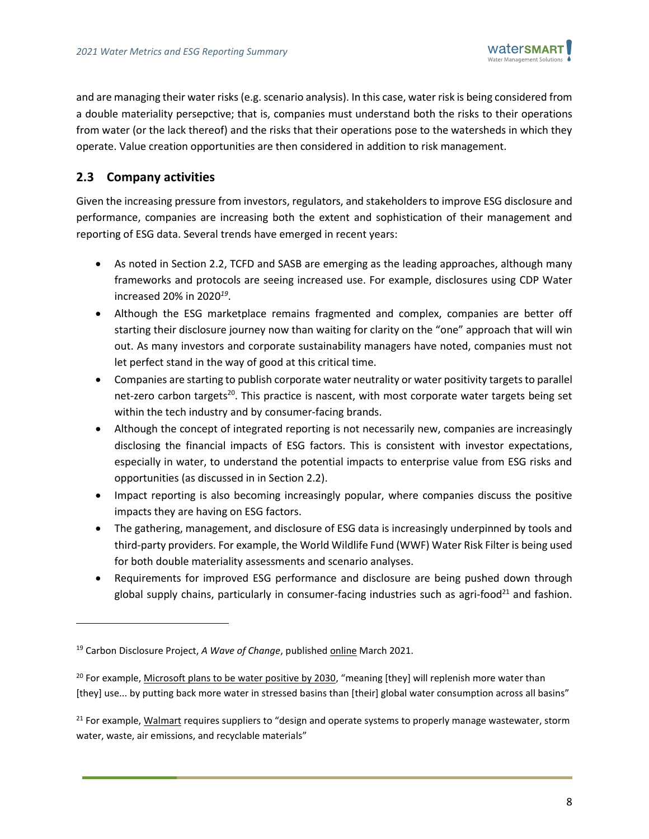

and are managing their water risks(e.g. scenario analysis). In this case, water risk is being considered from a double materiality persepctive; that is, companies must understand both the risks to their operations from water (or the lack thereof) and the risks that their operations pose to the watersheds in which they operate. Value creation opportunities are then considered in addition to risk management.

#### <span id="page-8-0"></span>**2.3 Company activities**

Given the increasing pressure from investors, regulators, and stakeholders to improve ESG disclosure and performance, companies are increasing both the extent and sophistication of their management and reporting of ESG data. Several trends have emerged in recent years:

- As noted in Section [2.2,](#page-6-0) TCFD and SASB are emerging as the leading approaches, although many frameworks and protocols are seeing increased use. For example, disclosures using CDP Water increased 20% in 2020*<sup>19</sup>* .
- Although the ESG marketplace remains fragmented and complex, companies are better off starting their disclosure journey now than waiting for clarity on the "one" approach that will win out. As many investors and corporate sustainability managers have noted, companies must not let perfect stand in the way of good at this critical time.
- Companies are starting to publish corporate water neutrality or water positivity targets to parallel net-zero carbon targets<sup>20</sup>. This practice is nascent, with most corporate water targets being set within the tech industry and by consumer-facing brands.
- Although the concept of integrated reporting is not necessarily new, companies are increasingly disclosing the financial impacts of ESG factors. This is consistent with investor expectations, especially in water, to understand the potential impacts to enterprise value from ESG risks and opportunities (as discussed in in Section [2.2\)](#page-6-0).
- Impact reporting is also becoming increasingly popular, where companies discuss the positive impacts they are having on ESG factors.
- The gathering, management, and disclosure of ESG data is increasingly underpinned by tools and third-party providers. For example, the World Wildlife Fund (WWF) Water Risk Filter is being used for both double materiality assessments and scenario analyses.
- Requirements for improved ESG performance and disclosure are being pushed down through global supply chains, particularly in consumer-facing industries such as agri-food<sup>21</sup> and fashion.

<sup>21</sup> For example, [Walmart](https://corporate.walmart.com/media-library/document/standards-for-suppliers-english/_proxyDocument?id=0000015c-e70f-d3b4-a57e-ff4f3f510000) requires suppliers to "design and operate systems to properly manage wastewater, storm water, waste, air emissions, and recyclable materials"

<sup>&</sup>lt;sup>19</sup> Carbon Disclosure Project, *A Wave of Change*, published **online** March 2021.

<sup>&</sup>lt;sup>20</sup> For example, [Microsoft plans to be water positive by 2030,](https://blogs.microsoft.com/blog/2020/09/21/microsoft-will-replenish-more-water-than-it-consumes-by-2030/) "meaning [they] will replenish more water than [they] use... by putting back more water in stressed basins than [their] global water consumption across all basins"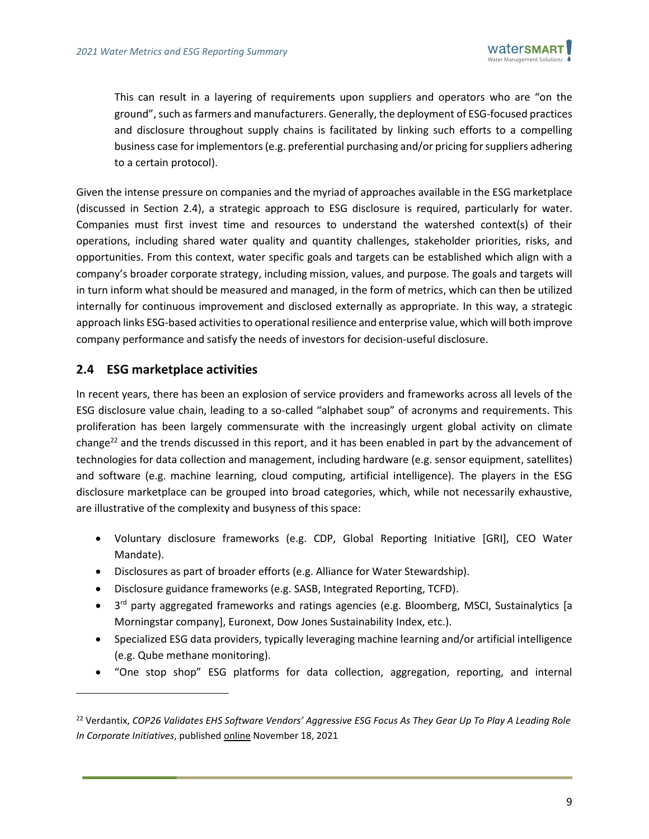

This can result in a layering of requirements upon suppliers and operators who are "on the ground", such as farmers and manufacturers. Generally, the deployment of ESG-focused practices and disclosure throughout supply chains is facilitated by linking such efforts to a compelling business case for implementors (e.g. preferential purchasing and/or pricing for suppliers adhering to a certain protocol).

Given the intense pressure on companies and the myriad of approaches available in the ESG marketplace (discussed in Section [2.4\)](#page-9-0), a strategic approach to ESG disclosure is required, particularly for water. Companies must first invest time and resources to understand the watershed context(s) of their operations, including shared water quality and quantity challenges, stakeholder priorities, risks, and opportunities. From this context, water specific goals and targets can be established which align with a company's broader corporate strategy, including mission, values, and purpose. The goals and targets will in turn inform what should be measured and managed, in the form of metrics, which can then be utilized internally for continuous improvement and disclosed externally as appropriate. In this way, a strategic approach links ESG-based activities to operational resilience and enterprise value, which will both improve company performance and satisfy the needs of investors for decision-useful disclosure.

#### <span id="page-9-0"></span>**2.4 ESG marketplace activities**

In recent years, there has been an explosion of service providers and frameworks across all levels of the ESG disclosure value chain, leading to a so-called "alphabet soup" of acronyms and requirements. This proliferation has been largely commensurate with the increasingly urgent global activity on climate change<sup>22</sup> and the trends discussed in this report, and it has been enabled in part by the advancement of technologies for data collection and management, including hardware (e.g. sensor equipment, satellites) and software (e.g. machine learning, cloud computing, artificial intelligence). The players in the ESG disclosure marketplace can be grouped into broad categories, which, while not necessarily exhaustive, are illustrative of the complexity and busyness of this space:

- Voluntary disclosure frameworks (e.g. CDP, Global Reporting Initiative [GRI], CEO Water Mandate).
- Disclosures as part of broader efforts (e.g. Alliance for Water Stewardship).
- Disclosure guidance frameworks (e.g. SASB, Integrated Reporting, TCFD).
- 3<sup>rd</sup> party aggregated frameworks and ratings agencies (e.g. Bloomberg, MSCI, Sustainalytics [a Morningstar company], Euronext, Dow Jones Sustainability Index, etc.).
- Specialized ESG data providers, typically leveraging machine learning and/or artificial intelligence (e.g. Qube methane monitoring).
- "One stop shop" ESG platforms for data collection, aggregation, reporting, and internal

<sup>22</sup> Verdantix, *COP26 Validates EHS Software Vendors' Aggressive ESG Focus As They Gear Up To Play A Leading Role In Corporate Initiatives*, published [online](https://www.verdantix.com/blog/cop26-validate-ehs-software-vendors-aggressive-esg-focus-as-they-gear-up-to-play-a-leading-role-in-corporate-initiatives) November 18, 2021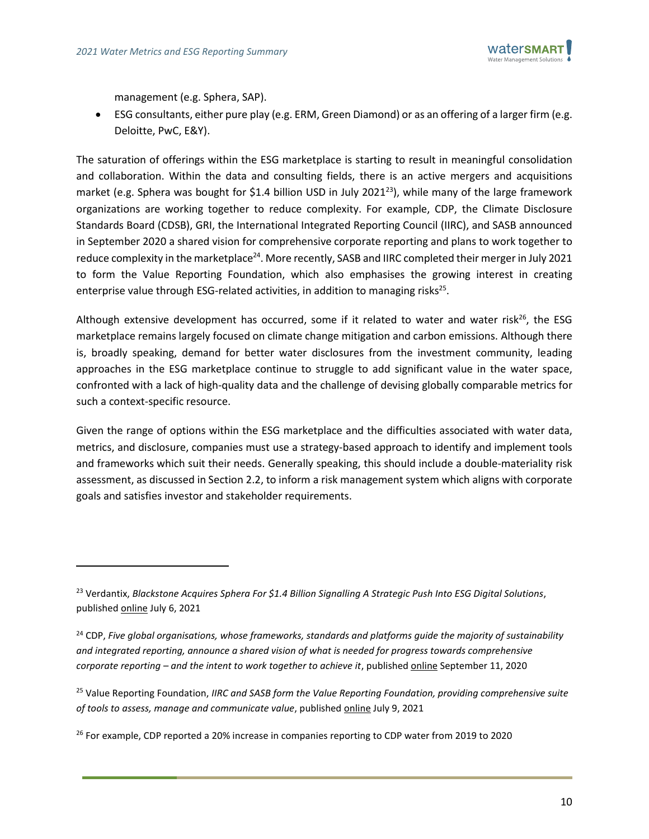

management (e.g. Sphera, SAP).

• ESG consultants, either pure play (e.g. ERM, Green Diamond) or as an offering of a larger firm (e.g. Deloitte, PwC, E&Y).

The saturation of offerings within the ESG marketplace is starting to result in meaningful consolidation and collaboration. Within the data and consulting fields, there is an active mergers and acquisitions market (e.g. Sphera was bought for \$1.4 billion USD in July 2021<sup>23</sup>), while many of the large framework organizations are working together to reduce complexity. For example, CDP, the Climate Disclosure Standards Board (CDSB), GRI, the International Integrated Reporting Council (IIRC), and SASB announced in September 2020 a shared vision for comprehensive corporate reporting and plans to work together to reduce complexity in the marketplace<sup>24</sup>. More recently, SASB and IIRC completed their merger in July 2021 to form the Value Reporting Foundation, which also emphasises the growing interest in creating enterprise value through ESG-related activities, in addition to managing risks<sup>25</sup>.

Although extensive development has occurred, some if it related to water and water risk<sup>26</sup>, the ESG marketplace remains largely focused on climate change mitigation and carbon emissions. Although there is, broadly speaking, demand for better water disclosures from the investment community, leading approaches in the ESG marketplace continue to struggle to add significant value in the water space, confronted with a lack of high-quality data and the challenge of devising globally comparable metrics for such a context-specific resource.

Given the range of options within the ESG marketplace and the difficulties associated with water data, metrics, and disclosure, companies must use a strategy-based approach to identify and implement tools and frameworks which suit their needs. Generally speaking, this should include a double-materiality risk assessment, as discussed in Section [2.2,](#page-6-0) to inform a risk management system which aligns with corporate goals and satisfies investor and stakeholder requirements.

<sup>23</sup> Verdantix, *Blackstone Acquires Sphera For \$1.4 Billion Signalling A Strategic Push Into ESG Digital Solutions*, published [online](https://www.verdantix.com/blog/blackstone-acquires-sphera-for-1-4-billion-signalling-a-strategic-push-into-esg-digital-solutions) July 6, 2021

<sup>24</sup> CDP, *Five global organisations, whose frameworks, standards and platforms guide the majority of sustainability and integrated reporting, announce a shared vision of what is needed for progress towards comprehensive corporate reporting – and the intent to work together to achieve it*, publishe[d online](https://www.cdp.net/en/articles/media/comprehensive-corporate-reporting) September 11, 2020

<sup>25</sup> Value Reporting Foundation, *IIRC and SASB form the Value Reporting Foundation, providing comprehensive suite of tools to assess, manage and communicate value*, publishe[d online](https://www.globenewswire.com/news-release/2021/06/09/2244505/0/en/IIRC-and-SASB-form-the-Value-Reporting-Foundation-providing-comprehensive-suite-of-tools-to-assess-manage-and-communicate-value.html) July 9, 2021

<sup>&</sup>lt;sup>26</sup> For example, CDP reported a 20% increase in companies reporting to CDP water from 2019 to 2020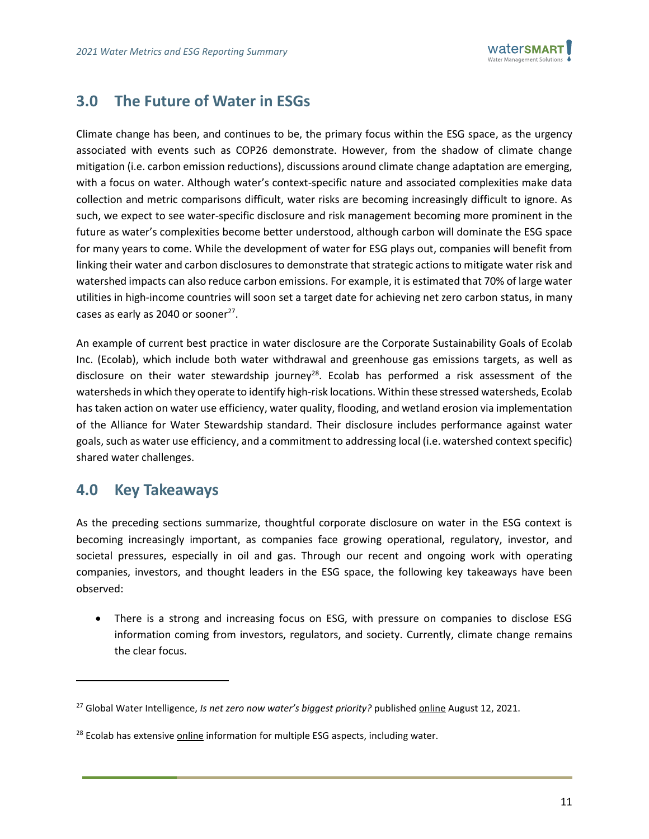

## <span id="page-11-0"></span>**3.0 The Future of Water in ESGs**

Climate change has been, and continues to be, the primary focus within the ESG space, as the urgency associated with events such as COP26 demonstrate. However, from the shadow of climate change mitigation (i.e. carbon emission reductions), discussions around climate change adaptation are emerging, with a focus on water. Although water's context-specific nature and associated complexities make data collection and metric comparisons difficult, water risks are becoming increasingly difficult to ignore. As such, we expect to see water-specific disclosure and risk management becoming more prominent in the future as water's complexities become better understood, although carbon will dominate the ESG space for many years to come. While the development of water for ESG plays out, companies will benefit from linking their water and carbon disclosures to demonstrate that strategic actions to mitigate water risk and watershed impacts can also reduce carbon emissions. For example, it is estimated that 70% of large water utilities in high-income countries will soon set a target date for achieving net zero carbon status, in many cases as early as 2040 or sooner<sup>27</sup>.

An example of current best practice in water disclosure are the Corporate Sustainability Goals of Ecolab Inc. (Ecolab), which include both water withdrawal and greenhouse gas emissions targets, as well as disclosure on their water stewardship journey<sup>28</sup>. Ecolab has performed a risk assessment of the watersheds in which they operate to identify high-risk locations. Within these stressed watersheds, Ecolab has taken action on water use efficiency, water quality, flooding, and wetland erosion via implementation of the Alliance for Water Stewardship standard. Their disclosure includes performance against water goals, such as water use efficiency, and a commitment to addressing local (i.e. watershed context specific) shared water challenges.

### <span id="page-11-1"></span>**4.0 Key Takeaways**

As the preceding sections summarize, thoughtful corporate disclosure on water in the ESG context is becoming increasingly important, as companies face growing operational, regulatory, investor, and societal pressures, especially in oil and gas. Through our recent and ongoing work with operating companies, investors, and thought leaders in the ESG space, the following key takeaways have been observed:

• There is a strong and increasing focus on ESG, with pressure on companies to disclose ESG information coming from investors, regulators, and society. Currently, climate change remains the clear focus.

<sup>&</sup>lt;sup>27</sup> Global Water Intelligence, *Is net zero now water's biggest priority?* published *online* August 12, 2021.

<sup>&</sup>lt;sup>28</sup> Ecolab has extensive [online](https://en-ca.ecolab.com/expertise-and-innovation/water) information for multiple ESG aspects, including water.